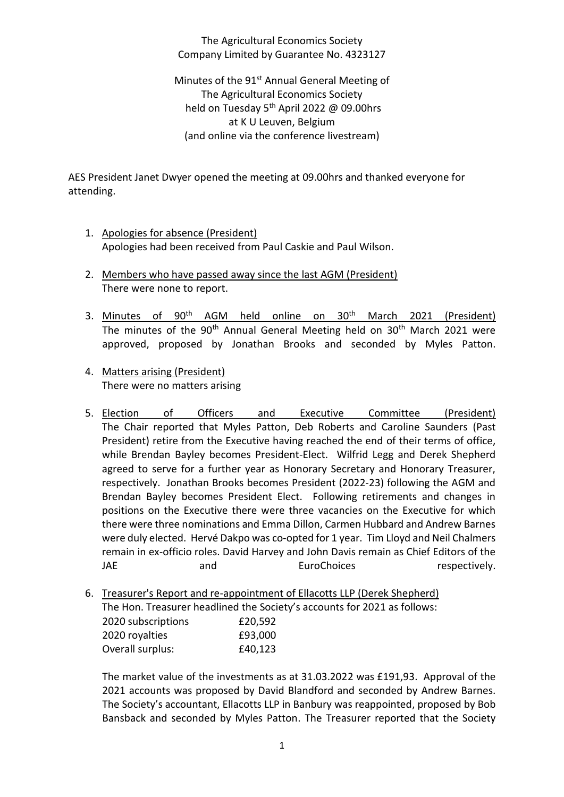## The Agricultural Economics Society Company Limited by Guarantee No. 4323127

Minutes of the 91<sup>st</sup> Annual General Meeting of The Agricultural Economics Society held on Tuesday 5<sup>th</sup> April 2022 @ 09.00hrs at K U Leuven, Belgium (and online via the conference livestream)

AES President Janet Dwyer opened the meeting at 09.00hrs and thanked everyone for attending.

- 1. Apologies for absence (President) Apologies had been received from Paul Caskie and Paul Wilson.
- 2. Members who have passed away since the last AGM (President) There were none to report.
- 3. Minutes of 90<sup>th</sup> AGM held online on 30<sup>th</sup> March 2021 (President) The minutes of the 90<sup>th</sup> Annual General Meeting held on 30<sup>th</sup> March 2021 were approved, proposed by Jonathan Brooks and seconded by Myles Patton.
- 4. Matters arising (President) There were no matters arising
- 5. Election of Officers and Executive Committee (President) The Chair reported that Myles Patton, Deb Roberts and Caroline Saunders (Past President) retire from the Executive having reached the end of their terms of office, while Brendan Bayley becomes President-Elect. Wilfrid Legg and Derek Shepherd agreed to serve for a further year as Honorary Secretary and Honorary Treasurer, respectively. Jonathan Brooks becomes President (2022-23) following the AGM and Brendan Bayley becomes President Elect. Following retirements and changes in positions on the Executive there were three vacancies on the Executive for which there were three nominations and Emma Dillon, Carmen Hubbard and Andrew Barnes were duly elected. Hervé Dakpo was co-opted for 1 year. Tim Lloyd and Neil Chalmers remain in ex-officio roles. David Harvey and John Davis remain as Chief Editors of the JAE and and EuroChoices respectively.
- 6. Treasurer's Report and re-appointment of Ellacotts LLP (Derek Shepherd) The Hon. Treasurer headlined the Society's accounts for 2021 as follows: 2020 subscriptions £20,592 2020 royalties £93,000 Overall surplus: £40,123

The market value of the investments as at 31.03.2022 was £191,93. Approval of the 2021 accounts was proposed by David Blandford and seconded by Andrew Barnes. The Society's accountant, Ellacotts LLP in Banbury was reappointed, proposed by Bob Bansback and seconded by Myles Patton. The Treasurer reported that the Society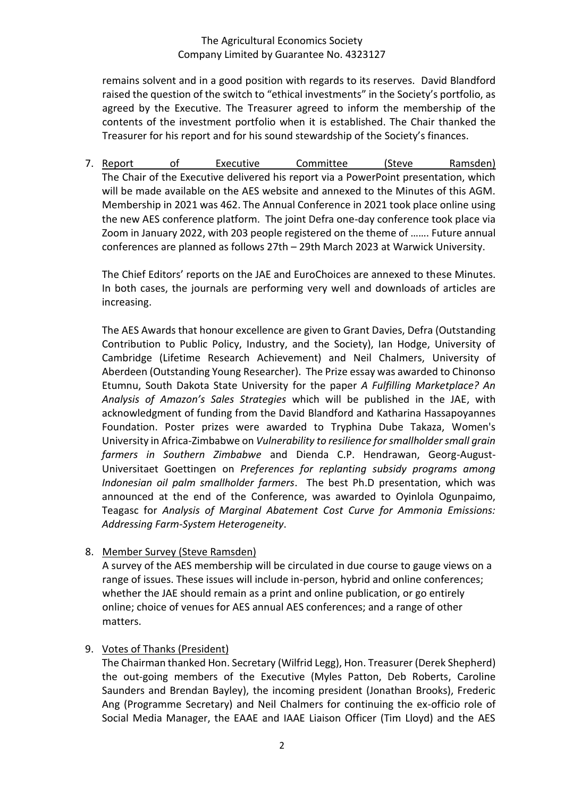## The Agricultural Economics Society Company Limited by Guarantee No. 4323127

remains solvent and in a good position with regards to its reserves. David Blandford raised the question of the switch to "ethical investments" in the Society's portfolio, as agreed by the Executive. The Treasurer agreed to inform the membership of the contents of the investment portfolio when it is established. The Chair thanked the Treasurer for his report and for his sound stewardship of the Society's finances.

7. Report of Executive Committee (Steve Ramsden) The Chair of the Executive delivered his report via a PowerPoint presentation, which will be made available on the AES website and annexed to the Minutes of this AGM. Membership in 2021 was 462. The Annual Conference in 2021 took place online using the new AES conference platform. The joint Defra one-day conference took place via Zoom in January 2022, with 203 people registered on the theme of ……. Future annual conferences are planned as follows 27th – 29th March 2023 at Warwick University.

The Chief Editors' reports on the JAE and EuroChoices are annexed to these Minutes. In both cases, the journals are performing very well and downloads of articles are increasing.

The AES Awards that honour excellence are given to Grant Davies, Defra (Outstanding Contribution to Public Policy, Industry, and the Society), Ian Hodge, University of Cambridge (Lifetime Research Achievement) and Neil Chalmers, University of Aberdeen (Outstanding Young Researcher). The Prize essay was awarded to Chinonso Etumnu, South Dakota State University for the paper *A Fulfilling Marketplace? An Analysis of Amazon's Sales Strategies* which will be published in the JAE, with acknowledgment of funding from the David Blandford and Katharina Hassapoyannes Foundation. Poster prizes were awarded to Tryphina Dube Takaza, Women's University in Africa-Zimbabwe on *Vulnerability to resilience for smallholder small grain farmers in Southern Zimbabwe* and Dienda C.P. Hendrawan, Georg-August-Universitaet Goettingen on *Preferences for replanting subsidy programs among Indonesian oil palm smallholder farmers*. The best Ph.D presentation, which was announced at the end of the Conference, was awarded to Oyinlola Ogunpaimo, Teagasc for *Analysis of Marginal Abatement Cost Curve for Ammonia Emissions: Addressing Farm-System Heterogeneity*.

# 8. Member Survey (Steve Ramsden)

A survey of the AES membership will be circulated in due course to gauge views on a range of issues. These issues will include in-person, hybrid and online conferences; whether the JAE should remain as a print and online publication, or go entirely online; choice of venues for AES annual AES conferences; and a range of other matters.

## 9. Votes of Thanks (President)

The Chairman thanked Hon. Secretary (Wilfrid Legg), Hon. Treasurer (Derek Shepherd) the out-going members of the Executive (Myles Patton, Deb Roberts, Caroline Saunders and Brendan Bayley), the incoming president (Jonathan Brooks), Frederic Ang (Programme Secretary) and Neil Chalmers for continuing the ex-officio role of Social Media Manager, the EAAE and IAAE Liaison Officer (Tim Lloyd) and the AES